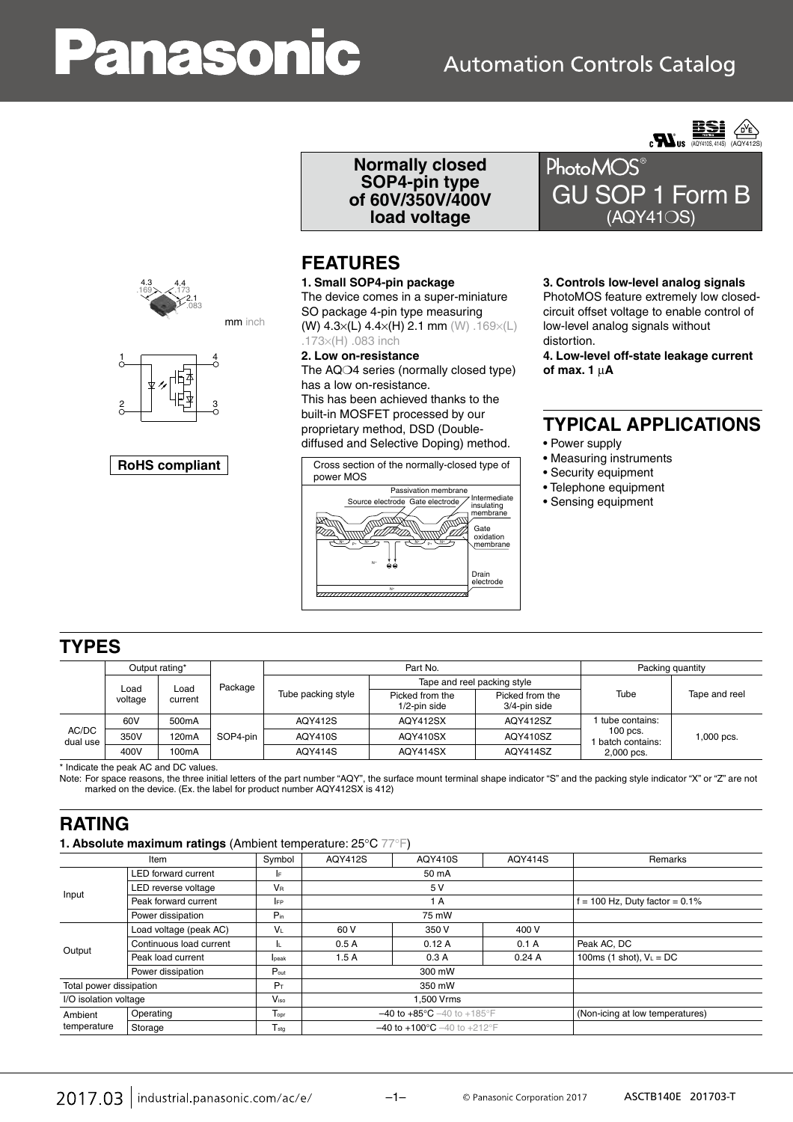# anasonic

## **Automation Controls Catalog**









**Normally closed SOP4-pin type of 60V/350V/400V load voltage**

#### **FEATURES**

**1. Small SOP4-pin package** The device comes in a super-miniature SO package 4-pin type measuring (W) 4.3×(L) 4.4×(H) 2.1 mm (W) .169×(L) .173×(H) .083 inch

**2. Low on-resistance** The AQ $\bigcirc$ 4 series (normally closed type) has a low on-resistance.

This has been achieved thanks to the built-in MOSFET processed by our proprietary method, DSD (Doublediffused and Selective Doping) method.



GU SOP 1 Form B (AQY41❍S)

#### **3. Controls low-level analog signals**

PhotoMOS feature extremely low closedcircuit offset voltage to enable control of low-level analog signals without distortion.

**4. Low-level off-state leakage current of max. 1** μ**A**

#### **TYPICAL APPLICATIONS**

- Power supply
- Measuring instruments
- Security equipment
- Telephone equipment
- Sensing equipment

#### **TYPES**

|                   | Output rating*          |                    |          |                    | Part No.                        | Packing quantity                |                                             |               |
|-------------------|-------------------------|--------------------|----------|--------------------|---------------------------------|---------------------------------|---------------------------------------------|---------------|
|                   | Load<br>Load<br>voltage |                    | Package  | Tube packing style | Tape and reel packing style     |                                 |                                             |               |
|                   |                         | current            |          |                    | Picked from the<br>1/2-pin side | Picked from the<br>3/4-pin side | Tube                                        | Tape and reel |
|                   | 60V                     | 500mA              |          | AQY412S            | AQY412SX                        | AQY412SZ                        | 1 tube contains:                            |               |
| AC/DC<br>dual use | 350V                    | 120 <sub>m</sub> A | SOP4-pin | <b>AQY410S</b>     | AQY410SX                        | AQY410SZ                        | $100$ pcs.<br>batch contains:<br>2,000 pcs. | 1,000 pcs.    |
|                   | 400V                    | 100mA              |          | <b>AQY414S</b>     | AQY414SX                        | AQY414SZ                        |                                             |               |

\* Indicate the peak AC and DC values.

Note: For space reasons, the three initial letters of the part number "AQY", the surface mount terminal shape indicator "S" and the packing style indicator "X" or "Z" are not marked on the device. (Ex. the label for product number AQY412SX is 412)

#### **RATING**

**1. Absolute maximum ratings** (Ambient temperature: 25°C 77°F)

| $\tilde{\phantom{a}}$      |                      |                                                    |                |                                  |                                                     |
|----------------------------|----------------------|----------------------------------------------------|----------------|----------------------------------|-----------------------------------------------------|
| Item                       |                      | <b>AQY412S</b>                                     | <b>AQY410S</b> | <b>AQY414S</b>                   | Remarks                                             |
| <b>LED</b> forward current | IE.                  | 50 mA                                              |                |                                  |                                                     |
| LED reverse voltage        | <b>V<sub>R</sub></b> | 5 V                                                |                |                                  |                                                     |
| Peak forward current       | <b>IFP</b>           | 1 A                                                |                | $f = 100$ Hz, Duty factor = 0.1% |                                                     |
| Power dissipation          | $P_{in}$             |                                                    | 75 mW          |                                  |                                                     |
| Load voltage (peak AC)     | Vı                   | 60 V                                               | 350 V          | 400 V                            |                                                     |
| Continuous load current    | IL.                  | 0.5A                                               | 0.12A          | 0.1A                             | Peak AC, DC                                         |
| Peak load current          | lpeak                | 1.5A                                               | 0.3A           | 0.24A                            | 100ms (1 shot), $V_L = DC$                          |
| Power dissipation          | $P_{\text{out}}$     | 300 mW                                             |                |                                  |                                                     |
| Total power dissipation    |                      | 350 mW                                             |                |                                  |                                                     |
| I/O isolation voltage      |                      | 1,500 Vrms                                         |                |                                  |                                                     |
| Operating                  | T <sub>oor</sub>     | $-40$ to $+85^{\circ}$ C $-40$ to $+185^{\circ}$ F |                |                                  | (Non-icing at low temperatures)                     |
| Storage                    | $T_{\text{stg}}$     |                                                    |                |                                  |                                                     |
|                            |                      | Symbol<br>$P_T$<br>V <sub>iso</sub>                |                |                                  | $-40$ to $+100^{\circ}$ C $-40$ to $+212^{\circ}$ F |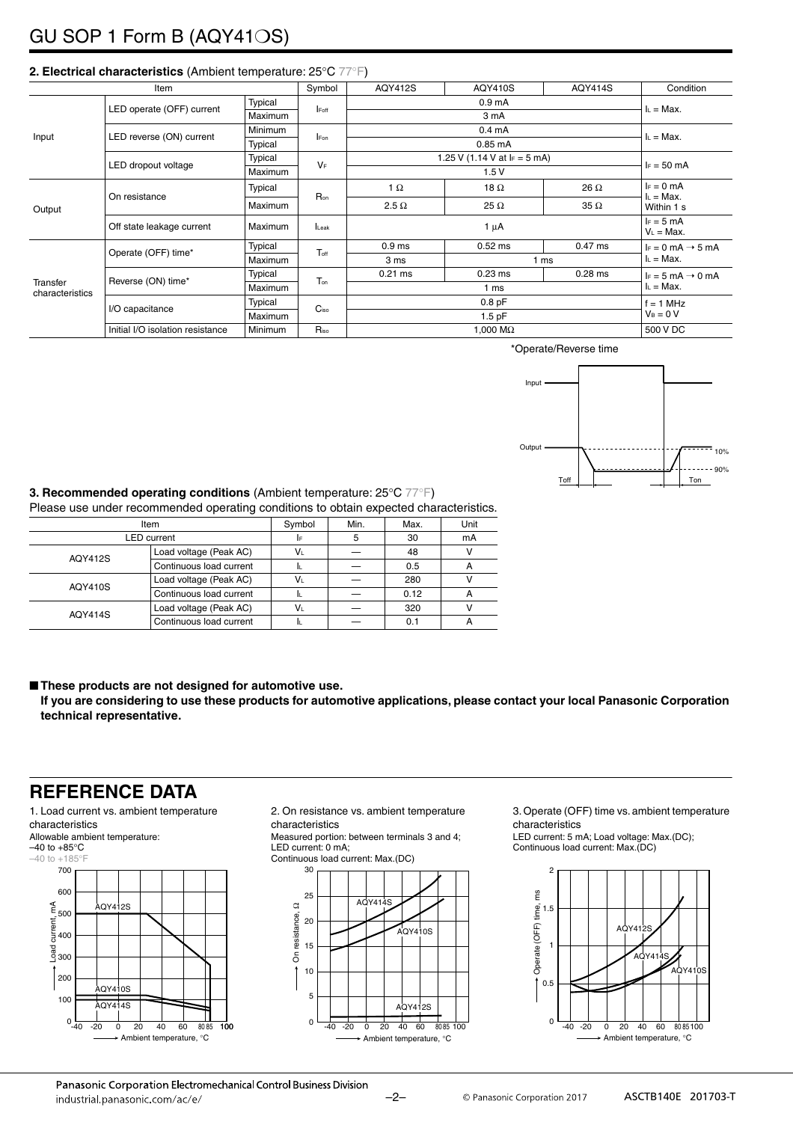### GU SOP 1 Form B (AQY41❍S)

|                             | Item                                               | Symbol         | <b>AQY412S</b> | AQY410S                       | <b>AQY414S</b> | Condition   |                                             |
|-----------------------------|----------------------------------------------------|----------------|----------------|-------------------------------|----------------|-------------|---------------------------------------------|
| Input                       |                                                    | Typical        |                |                               | $L = Max$ .    |             |                                             |
|                             | LED operate (OFF) current                          | <b>Maximum</b> | <b>IFoff</b>   |                               |                |             |                                             |
|                             |                                                    | <b>Minimum</b> |                |                               | $L = Max$ .    |             |                                             |
|                             | LED reverse (ON) current                           | Typical        | <b>IFon</b>    |                               |                |             |                                             |
|                             | LED dropout voltage                                | Typical        | $V_F$          | 1.25 V (1.14 V at $F = 5$ mA) | $I_F = 50$ mA  |             |                                             |
|                             |                                                    | Maximum        |                | 1.5V                          |                |             |                                             |
|                             | On resistance                                      | Typical        |                | 1 $\Omega$                    | 18 $\Omega$    | 26 $\Omega$ | $I_F = 0$ mA<br>$I_L = Max$ .<br>Within 1 s |
| Output                      |                                                    | Maximum        | Ron            | $2.5 \Omega$                  | 25 $\Omega$    | $35 \Omega$ |                                             |
|                             | Off state leakage current                          | <b>Maximum</b> | Leak           | $1 \mu A$                     |                |             | $I_F = 5$ mA<br>$V_L = Max$ .               |
| Transfer<br>characteristics | Operate (OFF) time*                                | Typical        | Toff           | 0.9 <sub>ms</sub>             | $0.52$ ms      | $0.47$ ms   | $I_F = 0$ mA $\rightarrow$ 5 mA             |
|                             |                                                    | <b>Maximum</b> |                | 3 ms                          | 1 ms           |             | $L = Max$ .                                 |
|                             | Reverse (ON) time*                                 | Typical        | Ton            | $0.21$ ms                     | $0.23$ ms      | $0.28$ ms   | $I_F = 5$ mA $\rightarrow$ 0 mA             |
|                             |                                                    | <b>Maximum</b> |                | 1 ms                          |                |             | $L = Max$ .                                 |
|                             |                                                    | Typical        |                | 0.8 <sub>pF</sub>             |                |             | $f = 1$ MHz<br>$V_B = 0 V$                  |
|                             | I/O capacitance                                    | <b>Maximum</b> | $C_{iso}$      | $1.5$ pF                      |                |             |                                             |
|                             | Initial I/O isolation resistance<br><b>Minimum</b> |                | Riso           | 1,000 $\text{M}\Omega$        |                |             | 500 V DC                                    |

#### **2. Electrical characteristics** (Ambient temperature: 25°C 77°F)

\*Operate/Reverse time



**3. Recommended operating conditions** (Ambient temperature: 25°C 77°F) Please use under recommended operating conditions to obtain expected characteristics.

|                    | Thease use under recommended operating conditions to obtain expected characteristics |        |      |      |      |  |  |  |
|--------------------|--------------------------------------------------------------------------------------|--------|------|------|------|--|--|--|
| Item               |                                                                                      | Symbol | Min. | Max. | Unit |  |  |  |
| <b>LED</b> current | I۴                                                                                   | 5      | 30   | mA   |      |  |  |  |
| AQY412S            | Load voltage (Peak AC)                                                               | VL     |      | 48   |      |  |  |  |
|                    | Continuous load current                                                              | h.     |      | 0.5  | А    |  |  |  |
| AQY410S            | Load voltage (Peak AC)                                                               | VL     |      | 280  |      |  |  |  |
|                    | Continuous load current                                                              | IL.    |      | 0.12 | А    |  |  |  |
| AQY414S            | Load voltage (Peak AC)                                                               | Vı     |      | 320  |      |  |  |  |
|                    | Continuous load current                                                              | II.    |      | 0.1  | А    |  |  |  |

■ These products are not designed for automotive use.

**If you are considering to use these products for automotive applications, please contact your local Panasonic Corporation technical representative.**

#### **REFERENCE DATA**

1. Load current vs. ambient temperature characteristics Allowable ambient temperature:  $-40$  to  $+85^{\circ}$ C  $-40$  to  $+185$ °F 700  $600$  $\widetilde{\epsilon}_{500}$ Load current, mA  $AOY412S$ current 400 ន<br>ខុ<sub>300</sub> 200  $-20$   $-20$   $-20$   $-40$   $-60$   $-80$   $-80$ 100 AQY414S 0 -40 100

Ambient temperature, °C

2. On resistance vs. ambient temperature characteristics

Measured portion: between terminals 3 and 4;

LED current: 0 mA; Continuous load current: Max.(DC)



3. Operate (OFF) time vs. ambient temperature characteristics

LED current: 5 mA; Load voltage: Max.(DC); Continuous load current: Max.(DC)

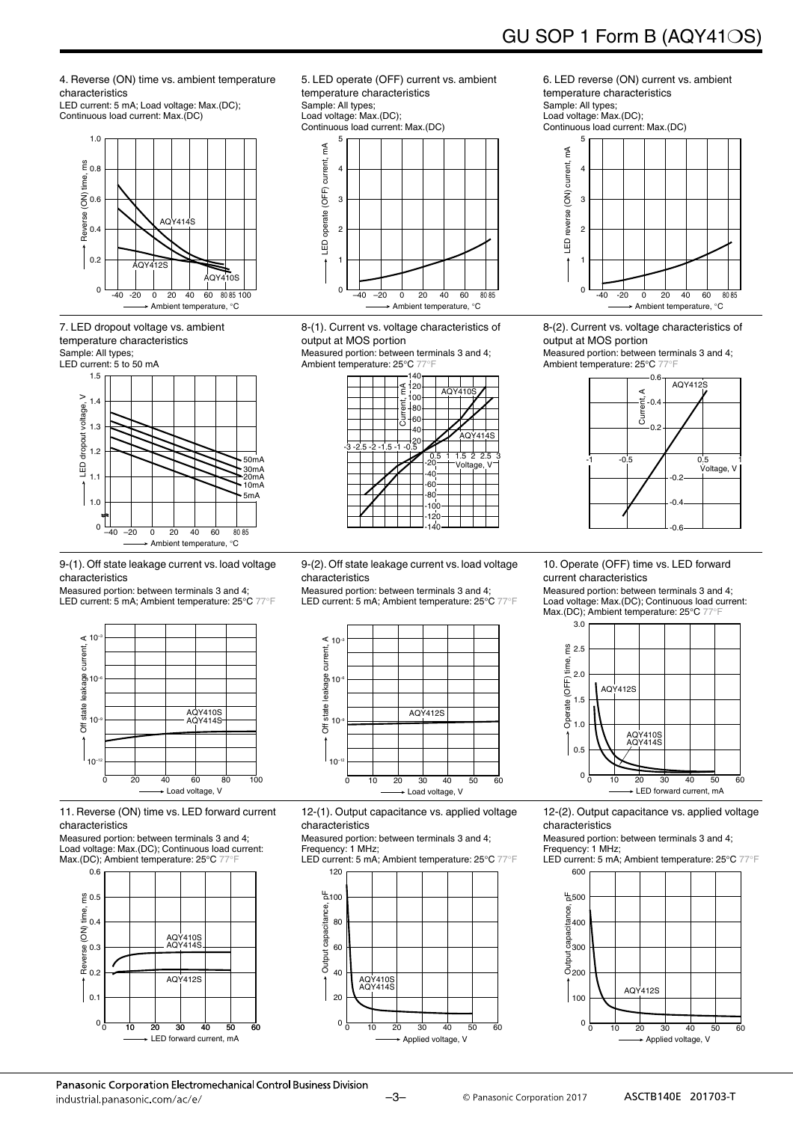GU SOP 1 Form B (AQY41❍S)

4. Reverse (ON) time vs. ambient temperature characteristics

LED current: 5 mA; Load voltage: Max.(DC); Continuous load current: Max.(DC)



7. LED dropout voltage vs. ambient temperature characteristics Sample: All types; LED current: 5 to 50 mA



9-(1). Off state leakage current vs. load voltage characteristics

Measured portion: between terminals 3 and 4; LED current: 5 mA; Ambient temperature: 25°C 77°F



11. Reverse (ON) time vs. LED forward current characteristics

Measured portion: between terminals 3 and 4; Load voltage: Max.(DC); Continuous load current: Max.(DC); Ambient temperature: 25°C 77



5. LED operate (OFF) current vs. ambient temperature characteristics Sample: All types;

Load voltage: Max.(DC); Continuous load current: Max.(DC)



8-(1). Current vs. voltage characteristics of output at MOS portion

Measured portion: between terminals 3 and 4; Ambient temperature: 25°C 77°F

|                      | 140<br>$\leq 120$<br>100<br>Current,<br>∤80<br>60<br>40 |                           | <b>AQY410S</b> |                             |
|----------------------|---------------------------------------------------------|---------------------------|----------------|-----------------------------|
| $-3-2.5-2-1.5-1-0.5$ |                                                         |                           |                | <b>AQY414S</b>              |
|                      |                                                         | $\frac{0.5}{20}$<br>$-40$ |                | $1.5$ 2 2.5 3<br>Voltage, V |
|                      |                                                         | -60<br>-80<br>100         |                |                             |
|                      |                                                         | 120<br>14C                |                |                             |

6. LED reverse (ON) current vs. ambient temperature characteristics Sample: All types; Load voltage: Max.(DC);



8-(2). Current vs. voltage characteristics of output at MOS portion Measured portion: between terminals 3 and 4;

Ambient temperature: 25°C 77°F



9-(2). Off state leakage current vs. load voltage characteristics

Measured portion: between terminals 3 and 4; LED current: 5 mA; Ambient temperature: 25°C 77°F



12-(1). Output capacitance vs. applied voltage characteristics

Measured portion: between terminals 3 and 4; Frequency: 1 MHz;

LED current: 5 mA; Ambient temperature: 25°C 77°F



10. Operate (OFF) time vs. LED forward current characteristics

Measured portion: between terminals 3 and 4; Load voltage: Max.(DC); Continuous load current: Max.(DC); Ambient temperature: 25°C 77°



12-(2). Output capacitance vs. applied voltage characteristics

Measured portion: between terminals 3 and 4; Frequency: 1 MHz;

LED current: 5 mA; Ambient temperature: 25°C 77°F

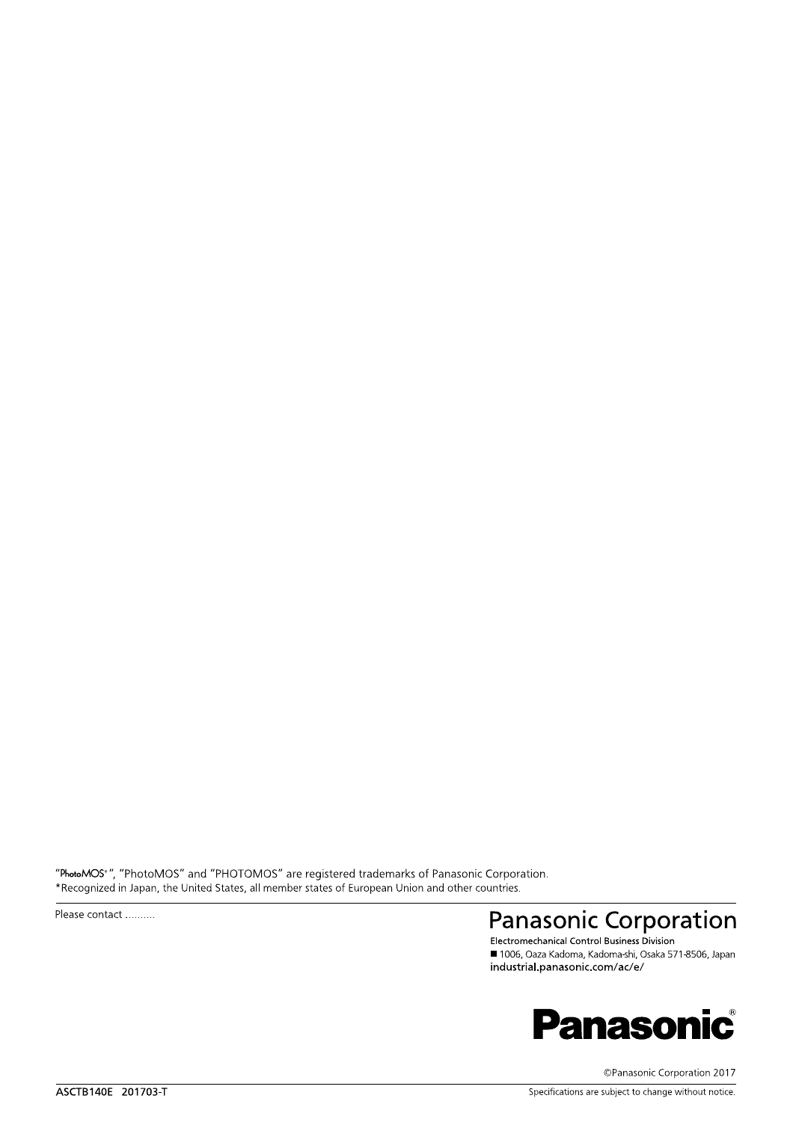"PhotoMOS<sup>®</sup>", "PhotoMOS" and "PHOTOMOS" are registered trademarks of Panasonic Corporation.<br>\*Recognized in Japan, the United States, all member states of European Union and other countries.

Please contact ..........

# **Panasonic Corporation**

■ 1006, Oaza Kadoma, Kadoma-shi, Osaka 571-8506, Japan industrial.panasonic.com/ac/e/



©Panasonic Corporation 2017